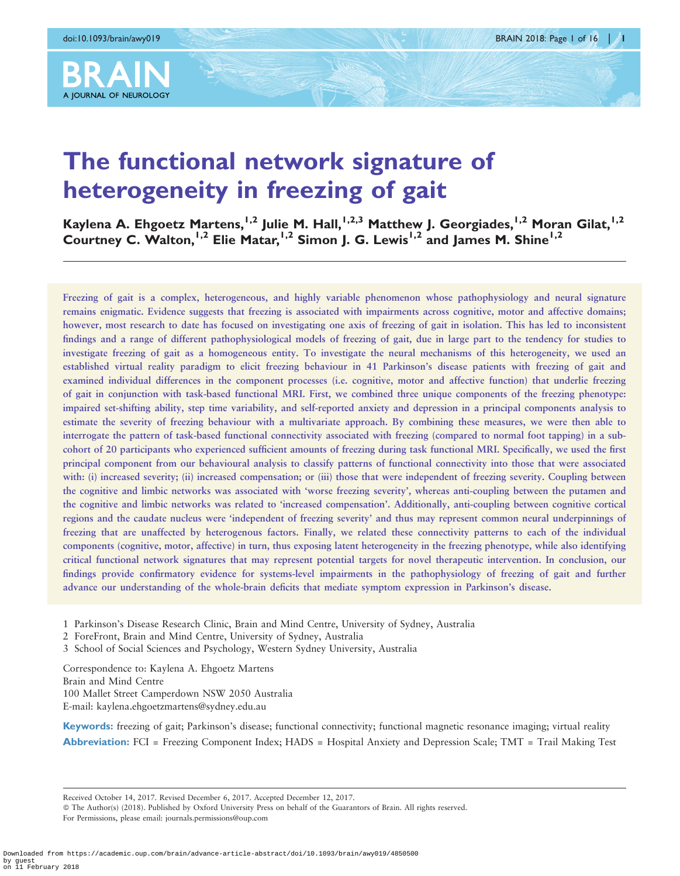

# The functional network signature of heterogeneity in freezing of gait

Kaylena A. Ehgoetz Martens,<sup>1,2</sup> Julie M. Hall,<sup>1,2,3</sup> Matthew J. Georgiades,<sup>1,2</sup> Moran Gilat,<sup>1,2</sup> Courtney C. Walton,  $1,2$  Elie Matar,  $1,2$  Simon J. G. Lewis<sup>1,2</sup> and James M. Shine<sup>1,2</sup>

Freezing of gait is a complex, heterogeneous, and highly variable phenomenon whose pathophysiology and neural signature remains enigmatic. Evidence suggests that freezing is associated with impairments across cognitive, motor and affective domains; however, most research to date has focused on investigating one axis of freezing of gait in isolation. This has led to inconsistent findings and a range of different pathophysiological models of freezing of gait, due in large part to the tendency for studies to investigate freezing of gait as a homogeneous entity. To investigate the neural mechanisms of this heterogeneity, we used an established virtual reality paradigm to elicit freezing behaviour in 41 Parkinson's disease patients with freezing of gait and examined individual differences in the component processes (i.e. cognitive, motor and affective function) that underlie freezing of gait in conjunction with task-based functional MRI. First, we combined three unique components of the freezing phenotype: impaired set-shifting ability, step time variability, and self-reported anxiety and depression in a principal components analysis to estimate the severity of freezing behaviour with a multivariate approach. By combining these measures, we were then able to interrogate the pattern of task-based functional connectivity associated with freezing (compared to normal foot tapping) in a subcohort of 20 participants who experienced sufficient amounts of freezing during task functional MRI. Specifically, we used the first principal component from our behavioural analysis to classify patterns of functional connectivity into those that were associated with: (i) increased severity; (ii) increased compensation; or (iii) those that were independent of freezing severity. Coupling between the cognitive and limbic networks was associated with 'worse freezing severity', whereas anti-coupling between the putamen and the cognitive and limbic networks was related to 'increased compensation'. Additionally, anti-coupling between cognitive cortical regions and the caudate nucleus were 'independent of freezing severity' and thus may represent common neural underpinnings of freezing that are unaffected by heterogenous factors. Finally, we related these connectivity patterns to each of the individual components (cognitive, motor, affective) in turn, thus exposing latent heterogeneity in the freezing phenotype, while also identifying critical functional network signatures that may represent potential targets for novel therapeutic intervention. In conclusion, our findings provide confirmatory evidence for systems-level impairments in the pathophysiology of freezing of gait and further advance our understanding of the whole-brain deficits that mediate symptom expression in Parkinson's disease.

1 Parkinson's Disease Research Clinic, Brain and Mind Centre, University of Sydney, Australia

2 ForeFront, Brain and Mind Centre, University of Sydney, Australia

3 School of Social Sciences and Psychology, Western Sydney University, Australia

Correspondence to: Kaylena A. Ehgoetz Martens Brain and Mind Centre 100 Mallet Street Camperdown NSW 2050 Australia E-mail: kaylena.ehgoetzmartens@sydney.edu.au

Keywords: freezing of gait; Parkinson's disease; functional connectivity; functional magnetic resonance imaging; virtual reality Abbreviation: FCI = Freezing Component Index; HADS = Hospital Anxiety and Depression Scale; TMT = Trail Making Test

Received October 14, 2017. Revised December 6, 2017. Accepted December 12, 2017.

© The Author(s) (2018). Published by Oxford University Press on behalf of the Guarantors of Brain. All rights reserved. For Permissions, please email: journals.permissions@oup.com

Downloaded from https://academic.oup.com/brain/advance-article-abstract/doi/10.1093/brain/awy019/4850500 by guest on 11 February 2018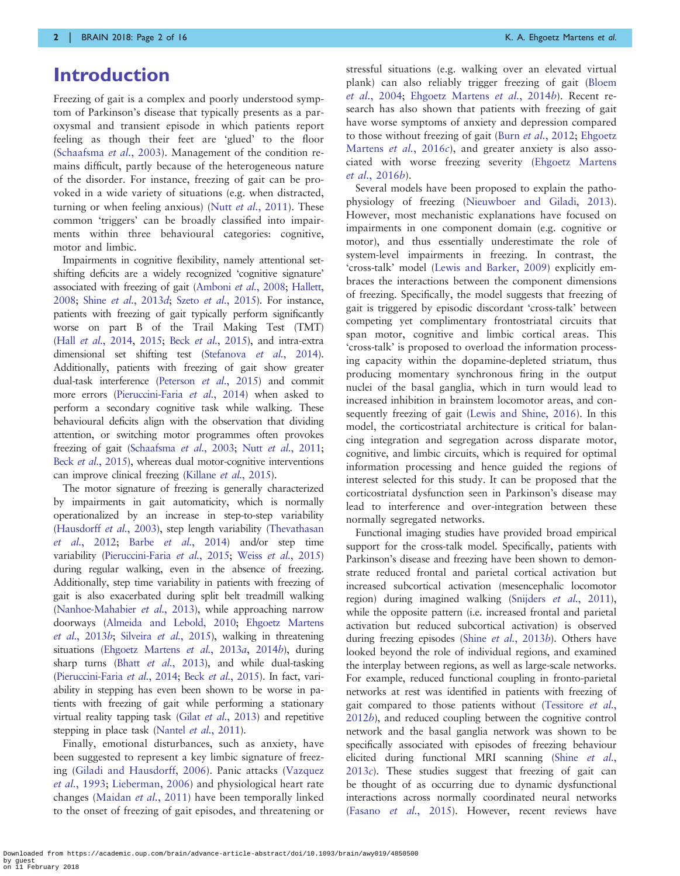## Introduction

Freezing of gait is a complex and poorly understood symptom of Parkinson's disease that typically presents as a paroxysmal and transient episode in which patients report feeling as though their feet are 'glued' to the floor [\(Schaafsma](#page-14-0) et al., 2003). Management of the condition remains difficult, partly because of the heterogeneous nature of the disorder. For instance, freezing of gait can be provoked in a wide variety of situations (e.g. when distracted, turning or when feeling anxious) (Nutt *et al.*[, 2011\)](#page-14-0). These common 'triggers' can be broadly classified into impairments within three behavioural categories: cognitive, motor and limbic.

Impairments in cognitive flexibility, namely attentional setshifting deficits are a widely recognized 'cognitive signature' associated with freezing of gait [\(Amboni](#page-13-0) et al., 2008; [Hallett,](#page-14-0) [2008](#page-14-0); Shine et al.[, 2013](#page-14-0)d; Szeto et al.[, 2015](#page-14-0)). For instance, patients with freezing of gait typically perform significantly worse on part B of the Trail Making Test (TMT) (Hall *et al.*[, 2014](#page-13-0), [2015](#page-13-0); Beck *et al.*[, 2015\)](#page-13-0), and intra-extra dimensional set shifting test [\(Stefanova](#page-14-0) et al., 2014). Additionally, patients with freezing of gait show greater dual-task interference [\(Peterson](#page-14-0) et al., 2015) and commit more errors [\(Pieruccini-Faria](#page-14-0) et al., 2014) when asked to perform a secondary cognitive task while walking. These behavioural deficits align with the observation that dividing attention, or switching motor programmes often provokes freezing of gait ([Schaafsma](#page-14-0) et al., 2003; Nutt et al.[, 2011;](#page-14-0) Beck *et al.*[, 2015\)](#page-13-0), whereas dual motor-cognitive interventions can improve clinical freezing ([Killane](#page-14-0) et al., 2015).

The motor signature of freezing is generally characterized by impairments in gait automaticity, which is normally operationalized by an increase in step-to-step variability [\(Hausdorff](#page-14-0) *et al.*, 2003), step length variability ([Thevathasan](#page-15-0) et al.[, 2012;](#page-15-0) Barbe et al.[, 2014](#page-13-0)) and/or step time variability [\(Pieruccini-Faria](#page-14-0) et al.[, 2015](#page-15-0); Weiss et al., 2015) during regular walking, even in the absence of freezing. Additionally, step time variability in patients with freezing of gait is also exacerbated during split belt treadmill walking [\(Nanhoe-Mahabier](#page-14-0) et al., 2013), while approaching narrow doorways [\(Almeida and Lebold, 2010;](#page-13-0) [Ehgoetz Martens](#page-13-0) et al.[, 2013](#page-13-0)b; [Silveira](#page-14-0) et al., 2015), walking in threatening situations [\(Ehgoetz Martens](#page-13-0) et al., 2013a, [2014](#page-13-0)b), during sharp turns (Bhatt et al.[, 2013](#page-13-0)), and while dual-tasking [\(Pieruccini-Faria](#page-14-0) et al., 2014; Beck et al.[, 2015\)](#page-13-0). In fact, variability in stepping has even been shown to be worse in patients with freezing of gait while performing a stationary virtual reality tapping task (Gilat et al.[, 2013](#page-13-0)) and repetitive stepping in place task (Nantel et al.[, 2011\)](#page-14-0).

Finally, emotional disturbances, such as anxiety, have been suggested to represent a key limbic signature of freezing ([Giladi and Hausdorff, 2006\)](#page-13-0). Panic attacks ([Vazquez](#page-15-0) et al.[, 1993](#page-15-0); [Lieberman, 2006](#page-14-0)) and physiological heart rate changes ([Maidan](#page-14-0) et al., 2011) have been temporally linked to the onset of freezing of gait episodes, and threatening or

stressful situations (e.g. walking over an elevated virtual plank) can also reliably trigger freezing of gait ([Bloem](#page-13-0) et al.[, 2004;](#page-13-0) [Ehgoetz Martens](#page-13-0) et al., 2014b). Recent research has also shown that patients with freezing of gait have worse symptoms of anxiety and depression compared to those without freezing of gait (Burn et al.[, 2012](#page-13-0); [Ehgoetz](#page-13-0) [Martens](#page-13-0) *et al.*,  $2016c$ , and greater anxiety is also associated with worse freezing severity [\(Ehgoetz Martens](#page-13-0) et al.[, 2016](#page-13-0)b).

Several models have been proposed to explain the pathophysiology of freezing [\(Nieuwboer and Giladi, 2013](#page-14-0)). However, most mechanistic explanations have focused on impairments in one component domain (e.g. cognitive or motor), and thus essentially underestimate the role of system-level impairments in freezing. In contrast, the 'cross-talk' model ([Lewis and Barker, 2009](#page-14-0)) explicitly embraces the interactions between the component dimensions of freezing. Specifically, the model suggests that freezing of gait is triggered by episodic discordant 'cross-talk' between competing yet complimentary frontostriatal circuits that span motor, cognitive and limbic cortical areas. This 'cross-talk' is proposed to overload the information processing capacity within the dopamine-depleted striatum, thus producing momentary synchronous firing in the output nuclei of the basal ganglia, which in turn would lead to increased inhibition in brainstem locomotor areas, and consequently freezing of gait ([Lewis and Shine, 2016](#page-14-0)). In this model, the corticostriatal architecture is critical for balancing integration and segregation across disparate motor, cognitive, and limbic circuits, which is required for optimal information processing and hence guided the regions of interest selected for this study. It can be proposed that the corticostriatal dysfunction seen in Parkinson's disease may lead to interference and over-integration between these normally segregated networks.

Functional imaging studies have provided broad empirical support for the cross-talk model. Specifically, patients with Parkinson's disease and freezing have been shown to demonstrate reduced frontal and parietal cortical activation but increased subcortical activation (mesencephalic locomotor region) during imagined walking [\(Snijders](#page-14-0) et al., 2011), while the opposite pattern (i.e. increased frontal and parietal activation but reduced subcortical activation) is observed during freezing episodes (Shine *et al.*[, 2013](#page-14-0)*b*). Others have looked beyond the role of individual regions, and examined the interplay between regions, as well as large-scale networks. For example, reduced functional coupling in fronto-parietal networks at rest was identified in patients with freezing of gait compared to those patients without [\(Tessitore](#page-15-0) et al., [2012](#page-15-0)b), and reduced coupling between the cognitive control network and the basal ganglia network was shown to be specifically associated with episodes of freezing behaviour elicited during functional MRI scanning (Shine [et al.](#page-14-0),  $2013c$  $2013c$ ). These studies suggest that freezing of gait can be thought of as occurring due to dynamic dysfunctional interactions across normally coordinated neural networks (Fasano et al.[, 2015](#page-13-0)). However, recent reviews have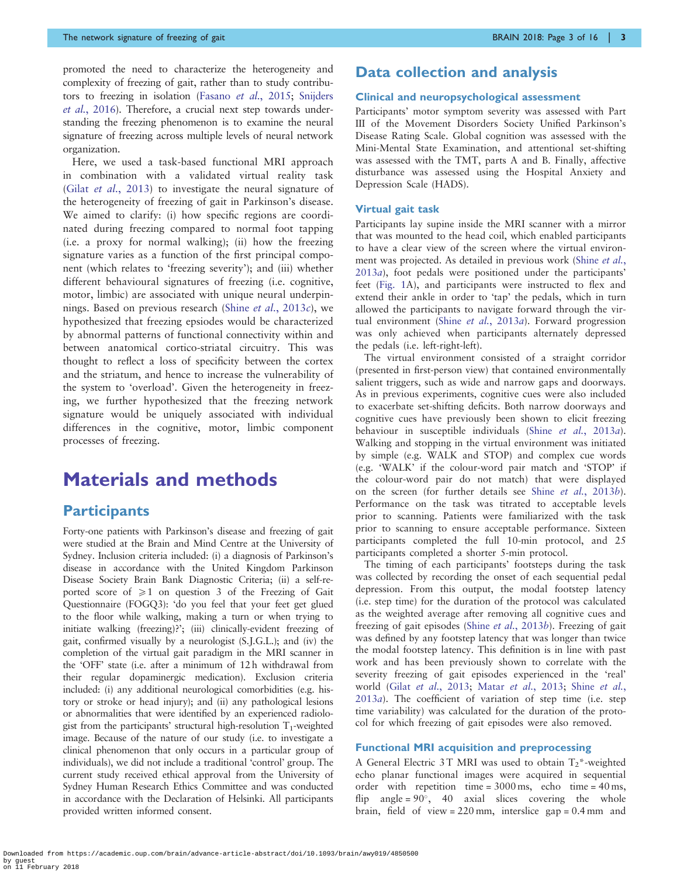promoted the need to characterize the heterogeneity and complexity of freezing of gait, rather than to study contributors to freezing in isolation ([Fasano](#page-13-0) et al., 2015; [Snijders](#page-14-0) et al.[, 2016](#page-14-0)). Therefore, a crucial next step towards understanding the freezing phenomenon is to examine the neural signature of freezing across multiple levels of neural network organization.

Here, we used a task-based functional MRI approach in combination with a validated virtual reality task (Gilat et al.[, 2013\)](#page-13-0) to investigate the neural signature of the heterogeneity of freezing of gait in Parkinson's disease. We aimed to clarify: (i) how specific regions are coordinated during freezing compared to normal foot tapping (i.e. a proxy for normal walking); (ii) how the freezing signature varies as a function of the first principal component (which relates to 'freezing severity'); and (iii) whether different behavioural signatures of freezing (i.e. cognitive, motor, limbic) are associated with unique neural underpin-nings. Based on previous research (Shine et al.[, 2013](#page-14-0)c), we hypothesized that freezing epsiodes would be characterized by abnormal patterns of functional connectivity within and between anatomical cortico-striatal circuitry. This was thought to reflect a loss of specificity between the cortex and the striatum, and hence to increase the vulnerability of the system to 'overload'. Given the heterogeneity in freezing, we further hypothesized that the freezing network signature would be uniquely associated with individual differences in the cognitive, motor, limbic component processes of freezing.

## Materials and methods

### **Participants**

Forty-one patients with Parkinson's disease and freezing of gait were studied at the Brain and Mind Centre at the University of Sydney. Inclusion criteria included: (i) a diagnosis of Parkinson's disease in accordance with the United Kingdom Parkinson Disease Society Brain Bank Diagnostic Criteria; (ii) a self-reported score of  $\geq 1$  on question 3 of the Freezing of Gait Questionnaire (FOGQ3): 'do you feel that your feet get glued to the floor while walking, making a turn or when trying to initiate walking (freezing)?'; (iii) clinically-evident freezing of gait, confirmed visually by a neurologist (S.J.G.L.); and (iv) the completion of the virtual gait paradigm in the MRI scanner in the 'OFF' state (i.e. after a minimum of 12 h withdrawal from their regular dopaminergic medication). Exclusion criteria included: (i) any additional neurological comorbidities (e.g. history or stroke or head injury); and (ii) any pathological lesions or abnormalities that were identified by an experienced radiologist from the participants' structural high-resolution  $T_1$ -weighted image. Because of the nature of our study (i.e. to investigate a clinical phenomenon that only occurs in a particular group of individuals), we did not include a traditional 'control' group. The current study received ethical approval from the University of Sydney Human Research Ethics Committee and was conducted in accordance with the Declaration of Helsinki. All participants provided written informed consent.

### Data collection and analysis

#### Clinical and neuropsychological assessment

Participants' motor symptom severity was assessed with Part III of the Movement Disorders Society Unified Parkinson's Disease Rating Scale. Global cognition was assessed with the Mini-Mental State Examination, and attentional set-shifting was assessed with the TMT, parts A and B. Finally, affective disturbance was assessed using the Hospital Anxiety and Depression Scale (HADS).

#### Virtual gait task

Participants lay supine inside the MRI scanner with a mirror that was mounted to the head coil, which enabled participants to have a clear view of the screen where the virtual environment was projected. As detailed in previous work [\(Shine](#page-14-0) et al., [2013](#page-14-0)a), foot pedals were positioned under the participants' feet [\(Fig. 1](#page-3-0)A), and participants were instructed to flex and extend their ankle in order to 'tap' the pedals, which in turn allowed the participants to navigate forward through the virtual environment (Shine et al.[, 2013](#page-14-0)a). Forward progression was only achieved when participants alternately depressed the pedals (i.e. left-right-left).

The virtual environment consisted of a straight corridor (presented in first-person view) that contained environmentally salient triggers, such as wide and narrow gaps and doorways. As in previous experiments, cognitive cues were also included to exacerbate set-shifting deficits. Both narrow doorways and cognitive cues have previously been shown to elicit freezing behaviour in susceptible individuals (Shine et al.[, 2013](#page-14-0)a). Walking and stopping in the virtual environment was initiated by simple (e.g. WALK and STOP) and complex cue words (e.g. 'WALK' if the colour-word pair match and 'STOP' if the colour-word pair do not match) that were displayed on the screen (for further details see Shine et al.[, 2013](#page-14-0)b). Performance on the task was titrated to acceptable levels prior to scanning. Patients were familiarized with the task prior to scanning to ensure acceptable performance. Sixteen participants completed the full 10-min protocol, and 25 participants completed a shorter 5-min protocol.

The timing of each participants' footsteps during the task was collected by recording the onset of each sequential pedal depression. From this output, the modal footstep latency (i.e. step time) for the duration of the protocol was calculated as the weighted average after removing all cognitive cues and freezing of gait episodes (Shine et al.[, 2013](#page-14-0)b). Freezing of gait was defined by any footstep latency that was longer than twice the modal footstep latency. This definition is in line with past work and has been previously shown to correlate with the severity freezing of gait episodes experienced in the 'real' world (Gilat et al.[, 2013](#page-13-0); Matar et al.[, 2013](#page-14-0); Shine [et al.](#page-14-0), [2013](#page-14-0)a). The coefficient of variation of step time (i.e. step time variability) was calculated for the duration of the protocol for which freezing of gait episodes were also removed.

#### Functional MRI acquisition and preprocessing

A General Electric 3 T MRI was used to obtain  $T_2^*$ -weighted echo planar functional images were acquired in sequential order with repetition time =  $3000 \text{ ms}$ , echo time =  $40 \text{ ms}$ , flip angle =  $90^\circ$ , 40 axial slices covering the whole brain, field of view =  $220 \text{ mm}$ , interslice gap =  $0.4 \text{ mm}$  and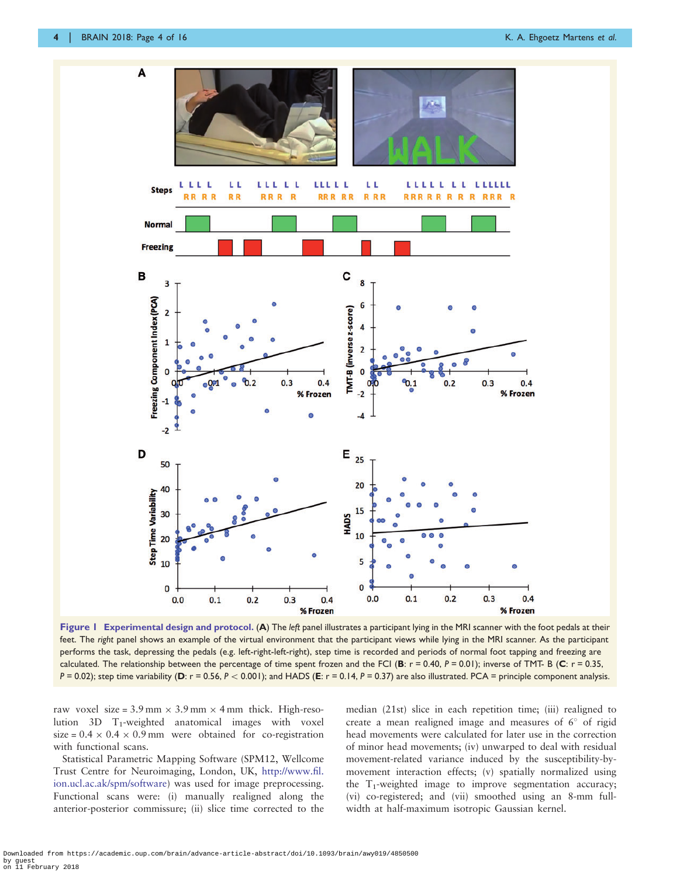<span id="page-3-0"></span>

Figure 1 Experimental design and protocol. (A) The left panel illustrates a participant lying in the MRI scanner with the foot pedals at their feet. The right panel shows an example of the virtual environment that the participant views while lying in the MRI scanner. As the participant performs the task, depressing the pedals (e.g. left-right-left-right), step time is recorded and periods of normal foot tapping and freezing are calculated. The relationship between the percentage of time spent frozen and the FCI (B:  $r = 0.40$ ,  $P = 0.01$ ); inverse of TMT- B (C:  $r = 0.35$ ,  $P = 0.02$ ); step time variability (D: r = 0.56, P < 0.001); and HADS (E: r = 0.14, P = 0.37) are also illustrated. PCA = principle component analysis.

raw voxel size =  $3.9$  mm  $\times$   $3.9$  mm  $\times$  4 mm thick. High-resolution  $3D$  T<sub>1</sub>-weighted anatomical images with voxel size =  $0.4 \times 0.4 \times 0.9$  mm were obtained for co-registration with functional scans.

Statistical Parametric Mapping Software (SPM12, Wellcome Trust Centre for Neuroimaging, London, UK, [http://www.fil.](http://www.fil.ion.ucl.ac.ak/spm/software) [ion.ucl.ac.ak/spm/software\)](http://www.fil.ion.ucl.ac.ak/spm/software) was used for image preprocessing. Functional scans were: (i) manually realigned along the anterior-posterior commissure; (ii) slice time corrected to the

median (21st) slice in each repetition time; (iii) realigned to create a mean realigned image and measures of  $6^\circ$  of rigid head movements were calculated for later use in the correction of minor head movements; (iv) unwarped to deal with residual movement-related variance induced by the susceptibility-bymovement interaction effects; (v) spatially normalized using the  $T_1$ -weighted image to improve segmentation accuracy; (vi) co-registered; and (vii) smoothed using an 8-mm fullwidth at half-maximum isotropic Gaussian kernel.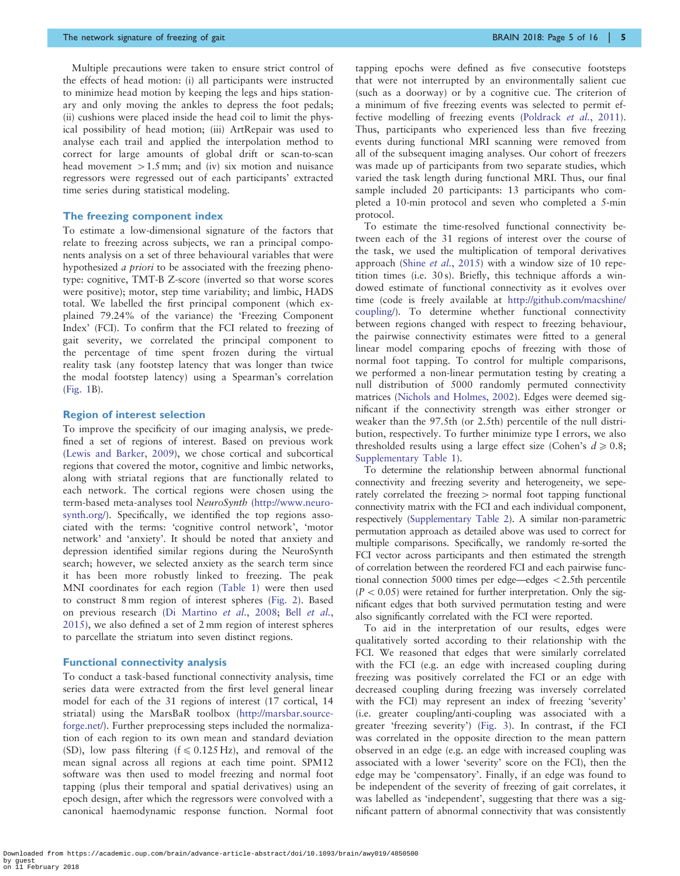Multiple precautions were taken to ensure strict control of the effects of head motion: (i) all participants were instructed to minimize head motion by keeping the legs and hips stationary and only moving the ankles to depress the foot pedals; (ii) cushions were placed inside the head coil to limit the physical possibility of head motion; (iii) ArtRepair was used to analyse each trail and applied the interpolation method to correct for large amounts of global drift or scan-to-scan head movement  $>1.5$  mm; and (iv) six motion and nuisance regressors were regressed out of each participants' extracted time series during statistical modeling.

#### The freezing component index

To estimate a low-dimensional signature of the factors that relate to freezing across subjects, we ran a principal components analysis on a set of three behavioural variables that were hypothesized *a priori* to be associated with the freezing phenotype: cognitive, TMT-B Z-score (inverted so that worse scores were positive); motor, step time variability; and limbic, HADS total. We labelled the first principal component (which explained 79.24% of the variance) the 'Freezing Component Index' (FCI). To confirm that the FCI related to freezing of gait severity, we correlated the principal component to the percentage of time spent frozen during the virtual reality task (any footstep latency that was longer than twice the modal footstep latency) using a Spearman's correlation ([Fig. 1](#page-3-0)B).

#### Region of interest selection

To improve the specificity of our imaging analysis, we predefined a set of regions of interest. Based on previous work ([Lewis and Barker, 2009\)](#page-14-0), we chose cortical and subcortical regions that covered the motor, cognitive and limbic networks, along with striatal regions that are functionally related to each network. The cortical regions were chosen using the term-based meta-analyses tool NeuroSynth [\(http://www.neuro](http://www.neurosynth.org/)[synth.org/](http://www.neurosynth.org/)). Specifically, we identified the top regions associated with the terms: 'cognitive control network', 'motor network' and 'anxiety'. It should be noted that anxiety and depression identified similar regions during the NeuroSynth search; however, we selected anxiety as the search term since it has been more robustly linked to freezing. The peak MNI coordinates for each region ([Table 1](#page-5-0)) were then used to construct 8 mm region of interest spheres ([Fig. 2](#page-5-0)). Based on previous research [\(Di Martino](#page-13-0) et al., 2008; Bell [et al.](#page-13-0), [2015](#page-13-0)), we also defined a set of 2 mm region of interest spheres to parcellate the striatum into seven distinct regions.

#### Functional connectivity analysis

To conduct a task-based functional connectivity analysis, time series data were extracted from the first level general linear model for each of the 31 regions of interest (17 cortical, 14 striatal) using the MarsBaR toolbox ([http://marsbar.source](http://marsbar.sourceforge.net/)[forge.net/](http://marsbar.sourceforge.net/)). Further preprocessing steps included the normalization of each region to its own mean and standard deviation (SD), low pass filtering  $(f \le 0.125 \text{ Hz})$ , and removal of the mean signal across all regions at each time point. SPM12 software was then used to model freezing and normal foot tapping (plus their temporal and spatial derivatives) using an epoch design, after which the regressors were convolved with a canonical haemodynamic response function. Normal foot tapping epochs were defined as five consecutive footsteps that were not interrupted by an environmentally salient cue (such as a doorway) or by a cognitive cue. The criterion of a minimum of five freezing events was selected to permit effective modelling of freezing events ([Poldrack](#page-14-0) et al., 2011). Thus, participants who experienced less than five freezing events during functional MRI scanning were removed from all of the subsequent imaging analyses. Our cohort of freezers was made up of participants from two separate studies, which varied the task length during functional MRI. Thus, our final sample included 20 participants: 13 participants who completed a 10-min protocol and seven who completed a 5-min protocol.

To estimate the time-resolved functional connectivity between each of the 31 regions of interest over the course of the task, we used the multiplication of temporal derivatives approach (Shine et al.[, 2015](#page-14-0)) with a window size of 10 repetition times (i.e. 30 s). Briefly, this technique affords a windowed estimate of functional connectivity as it evolves over time (code is freely available at [http://github.com/macshine/](http://github.com/macshine/coupling/) [coupling/](http://github.com/macshine/coupling/)). To determine whether functional connectivity between regions changed with respect to freezing behaviour, the pairwise connectivity estimates were fitted to a general linear model comparing epochs of freezing with those of normal foot tapping. To control for multiple comparisons, we performed a non-linear permutation testing by creating a null distribution of 5000 randomly permuted connectivity matrices ([Nichols and Holmes, 2002\)](#page-14-0). Edges were deemed significant if the connectivity strength was either stronger or weaker than the 97.5th (or 2.5th) percentile of the null distribution, respectively. To further minimize type I errors, we also thresholded results using a large effect size (Cohen's  $d \ge 0.8$ ; [Supplementary Table 1\)](http://brain.oxfordjournals.org/lookup/suppl/doi:10.1093/brain/awy019#supplementary-data).

To determine the relationship between abnormal functional connectivity and freezing severity and heterogeneity, we seperately correlated the freezing  $>$  normal foot tapping functional connectivity matrix with the FCI and each individual component, respectively ([Supplementary Table 2\)](http://brain.oxfordjournals.org/lookup/suppl/doi:10.1093/brain/awy019#supplementary-data). A similar non-parametric permutation approach as detailed above was used to correct for multiple comparisons. Specifically, we randomly re-sorted the FCI vector across participants and then estimated the strength of correlation between the reordered FCI and each pairwise functional connection  $5000$  times per edge—edges  $<$  2.5th percentile  $(P < 0.05)$  were retained for further interpretation. Only the significant edges that both survived permutation testing and were also significantly correlated with the FCI were reported.

To aid in the interpretation of our results, edges were qualitatively sorted according to their relationship with the FCI. We reasoned that edges that were similarly correlated with the FCI (e.g. an edge with increased coupling during freezing was positively correlated the FCI or an edge with decreased coupling during freezing was inversely correlated with the FCI) may represent an index of freezing 'severity' (i.e. greater coupling/anti-coupling was associated with a greater 'freezing severity') ([Fig. 3](#page-6-0)). In contrast, if the FCI was correlated in the opposite direction to the mean pattern observed in an edge (e.g. an edge with increased coupling was associated with a lower 'severity' score on the FCI), then the edge may be 'compensatory'. Finally, if an edge was found to be independent of the severity of freezing of gait correlates, it was labelled as 'independent', suggesting that there was a significant pattern of abnormal connectivity that was consistently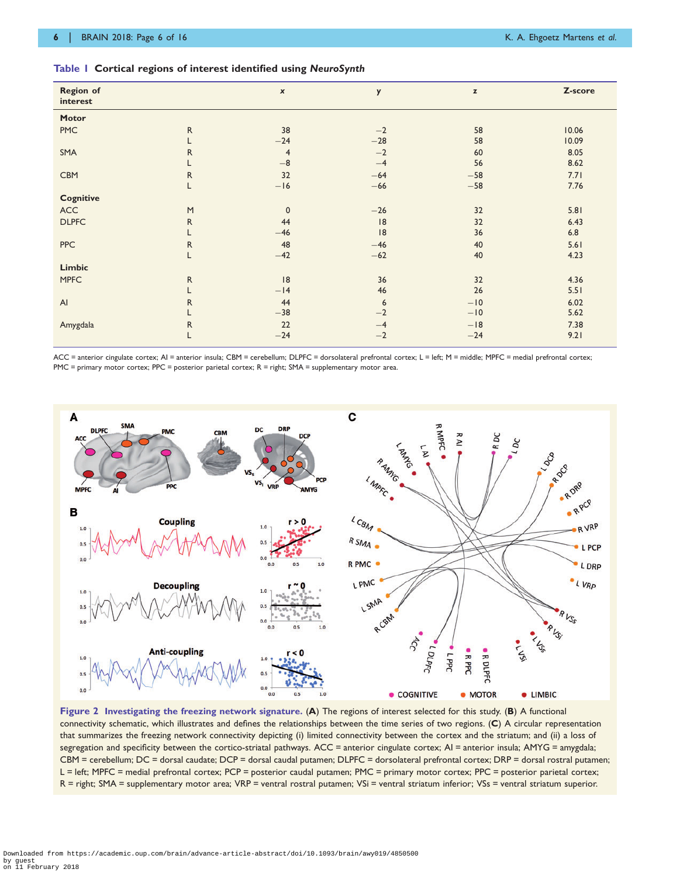#### <span id="page-5-0"></span>Table 1 Cortical regions of interest identified using NeuroSynth

| <b>Region of</b><br>interest |                                   | $\pmb{\chi}$   | y     | $\mathbf{z}$ | Z-score |
|------------------------------|-----------------------------------|----------------|-------|--------------|---------|
| Motor                        |                                   |                |       |              |         |
| <b>PMC</b>                   | $\mathsf{R}$                      | 38             | $-2$  | 58           | 10.06   |
|                              |                                   | $-24$          | $-28$ | 58           | 10.09   |
| SMA                          | R                                 | $\overline{4}$ | $-2$  | 60           | 8.05    |
|                              |                                   | $-8$           | $-4$  | 56           | 8.62    |
| <b>CBM</b>                   | $\mathsf{R}$                      | 32             | $-64$ | $-58$        | 7.71    |
|                              |                                   | $-16$          | $-66$ | $-58$        | 7.76    |
| <b>Cognitive</b>             |                                   |                |       |              |         |
| ACC                          | $\mathsf{M}% _{H}=\mathsf{M}_{H}$ | $\mathbf 0$    | $-26$ | 32           | 5.81    |
| <b>DLPFC</b>                 | $\mathsf{R}$                      | 44             | 8     | 32           | 6.43    |
|                              |                                   | $-46$          | 8     | 36           | 6.8     |
| PPC                          | $\mathsf{R}$                      | 48             | $-46$ | 40           | 5.61    |
|                              |                                   | $-42$          | $-62$ | 40           | 4.23    |
| Limbic                       |                                   |                |       |              |         |
| <b>MPFC</b>                  | R                                 | 8              | 36    | 32           | 4.36    |
|                              |                                   | $-14$          | 46    | 26           | 5.51    |
| AI                           | $\mathsf{R}$                      | 44             | 6     | $-10$        | 6.02    |
|                              |                                   | $-38$          | $-2$  | $-10$        | 5.62    |
| Amygdala                     | R                                 | 22             | $-4$  | $-18$        | 7.38    |
|                              |                                   | $-24$          | $-2$  | $-24$        | 9.21    |

ACC = anterior cingulate cortex; AI = anterior insula; CBM = cerebellum; DLPFC = dorsolateral prefrontal cortex; L = left; M = middle; MPFC = medial prefrontal cortex; PMC = primary motor cortex; PPC = posterior parietal cortex; R = right; SMA = supplementary motor area.



Figure 2 Investigating the freezing network signature. (A) The regions of interest selected for this study. (B) A functional connectivity schematic, which illustrates and defines the relationships between the time series of two regions. (C) A circular representation that summarizes the freezing network connectivity depicting (i) limited connectivity between the cortex and the striatum; and (ii) a loss of segregation and specificity between the cortico-striatal pathways. ACC = anterior cingulate cortex; AI = anterior insula; AMYG = amygdala; CBM = cerebellum; DC = dorsal caudate; DCP = dorsal caudal putamen; DLPFC = dorsolateral prefrontal cortex; DRP = dorsal rostral putamen; L = left; MPFC = medial prefrontal cortex; PCP = posterior caudal putamen; PMC = primary motor cortex; PPC = posterior parietal cortex; R = right; SMA = supplementary motor area; VRP = ventral rostral putamen; VSi = ventral striatum inferior; VSs = ventral striatum superior.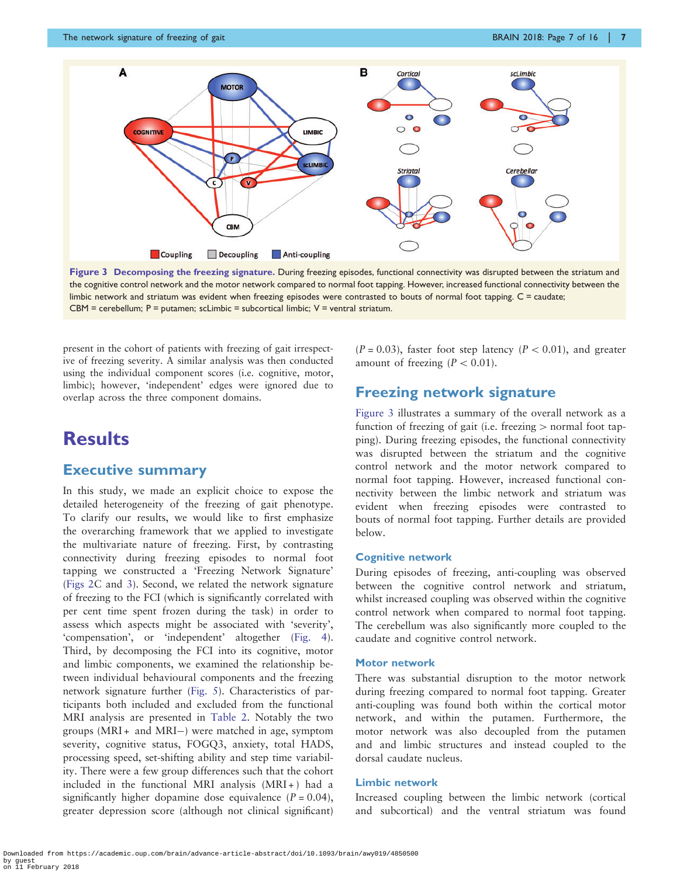<span id="page-6-0"></span>

Figure 3 Decomposing the freezing signature. During freezing episodes, functional connectivity was disrupted between the striatum and the cognitive control network and the motor network compared to normal foot tapping. However, increased functional connectivity between the limbic network and striatum was evident when freezing episodes were contrasted to bouts of normal foot tapping. C = caudate;  $CBM = cerebellum; P = putamen; schimbic = subcortical limbic; V = ventral striatum.$ 

present in the cohort of patients with freezing of gait irrespective of freezing severity. A similar analysis was then conducted using the individual component scores (i.e. cognitive, motor, limbic); however, 'independent' edges were ignored due to overlap across the three component domains.

## **Results**

### Executive summary

In this study, we made an explicit choice to expose the detailed heterogeneity of the freezing of gait phenotype. To clarify our results, we would like to first emphasize the overarching framework that we applied to investigate the multivariate nature of freezing. First, by contrasting connectivity during freezing episodes to normal foot tapping we constructed a 'Freezing Network Signature' ([Figs 2C](#page-5-0) and 3). Second, we related the network signature of freezing to the FCI (which is significantly correlated with per cent time spent frozen during the task) in order to assess which aspects might be associated with 'severity', 'compensation', or 'independent' altogether [\(Fig. 4](#page-7-0)). Third, by decomposing the FCI into its cognitive, motor and limbic components, we examined the relationship between individual behavioural components and the freezing network signature further ([Fig. 5\)](#page-7-0). Characteristics of participants both included and excluded from the functional MRI analysis are presented in [Table 2.](#page-8-0) Notably the two groups (MRI + and MRI –) were matched in age, symptom severity, cognitive status, FOGQ3, anxiety, total HADS, processing speed, set-shifting ability and step time variability. There were a few group differences such that the cohort included in the functional MRI analysis  $(MRI +)$  had a significantly higher dopamine dose equivalence  $(P = 0.04)$ , greater depression score (although not clinical significant)  $(P = 0.03)$ , faster foot step latency  $(P < 0.01)$ , and greater amount of freezing  $(P < 0.01)$ .

### Freezing network signature

Figure 3 illustrates a summary of the overall network as a function of freezing of gait (i.e. freezing  $>$  normal foot tapping). During freezing episodes, the functional connectivity was disrupted between the striatum and the cognitive control network and the motor network compared to normal foot tapping. However, increased functional connectivity between the limbic network and striatum was evident when freezing episodes were contrasted to bouts of normal foot tapping. Further details are provided below.

#### Cognitive network

During episodes of freezing, anti-coupling was observed between the cognitive control network and striatum, whilst increased coupling was observed within the cognitive control network when compared to normal foot tapping. The cerebellum was also significantly more coupled to the caudate and cognitive control network.

#### Motor network

There was substantial disruption to the motor network during freezing compared to normal foot tapping. Greater anti-coupling was found both within the cortical motor network, and within the putamen. Furthermore, the motor network was also decoupled from the putamen and and limbic structures and instead coupled to the dorsal caudate nucleus.

#### Limbic network

Increased coupling between the limbic network (cortical and subcortical) and the ventral striatum was found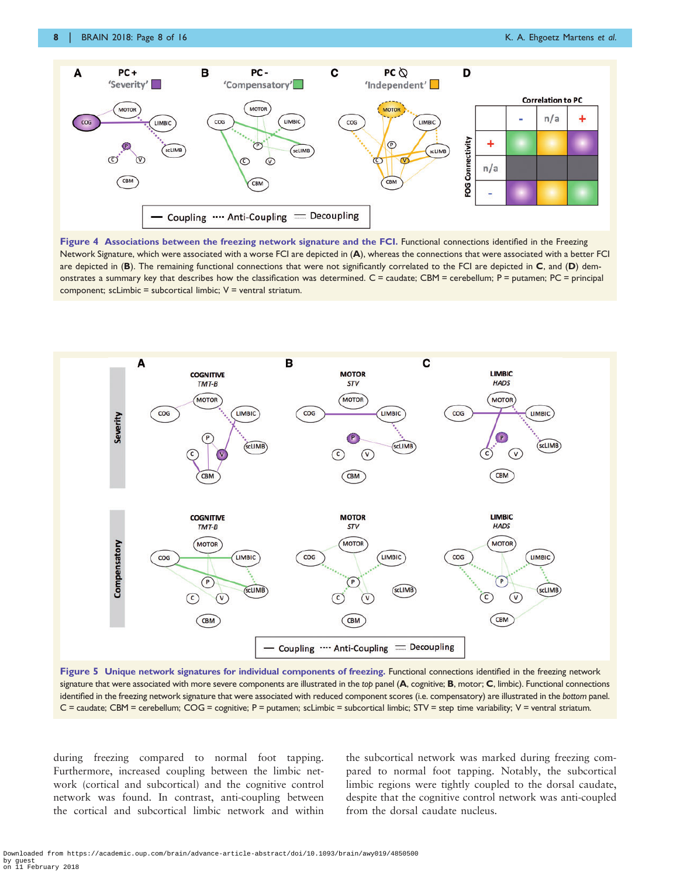<span id="page-7-0"></span>

Figure 4 Associations between the freezing network signature and the FCI. Functional connections identified in the Freezing Network Signature, which were associated with a worse FCI are depicted in (A), whereas the connections that were associated with a better FCI are depicted in (B). The remaining functional connections that were not significantly correlated to the FCI are depicted in C, and (D) demonstrates a summary key that describes how the classification was determined. C = caudate; CBM = cerebellum; P = putamen; PC = principal component; scLimbic = subcortical limbic; V = ventral striatum.



Figure 5 Unique network signatures for individual components of freezing. Functional connections identified in the freezing network signature that were associated with more severe components are illustrated in the top panel  $(A,$  cognitive;  $B$ , motor;  $C$ , limbic). Functional connections identified in the freezing network signature that were associated with reduced component scores (i.e. compensatory) are illustrated in the bottom panel. C = caudate; CBM = cerebellum; COG = cognitive; P = putamen; scLimbic = subcortical limbic; STV = step time variability; V = ventral striatum.

during freezing compared to normal foot tapping. Furthermore, increased coupling between the limbic network (cortical and subcortical) and the cognitive control network was found. In contrast, anti-coupling between the cortical and subcortical limbic network and within

the subcortical network was marked during freezing compared to normal foot tapping. Notably, the subcortical limbic regions were tightly coupled to the dorsal caudate, despite that the cognitive control network was anti-coupled from the dorsal caudate nucleus.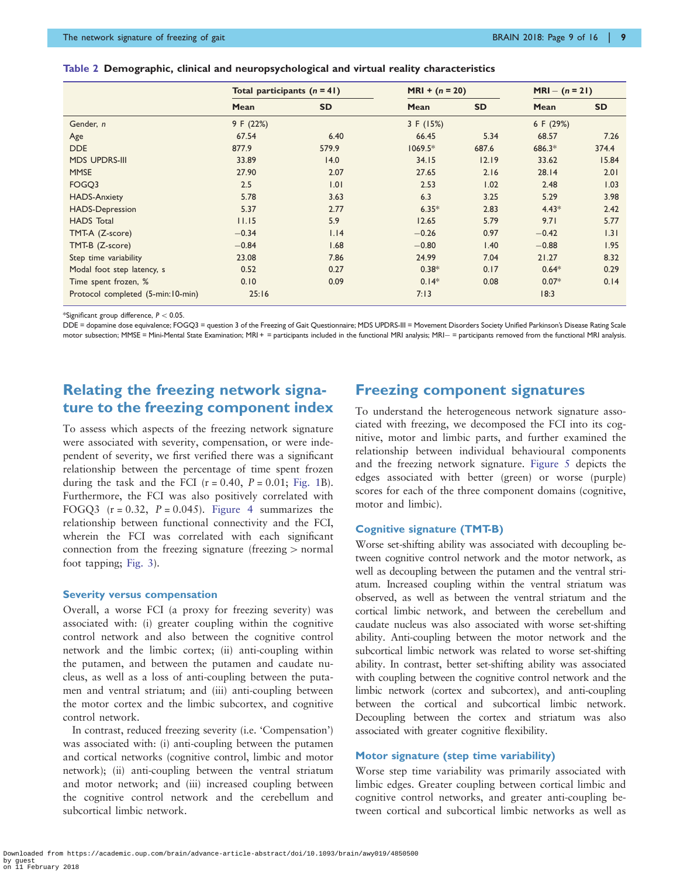|                                   | Total participants $(n = 41)$ |           | $MRI + (n = 20)$ |           | $MRI - (n = 21)$ |           |
|-----------------------------------|-------------------------------|-----------|------------------|-----------|------------------|-----------|
|                                   | <b>Mean</b>                   | <b>SD</b> | Mean             | <b>SD</b> | Mean             | <b>SD</b> |
| Gender, n                         | 9 F (22%)                     |           | 3 F (15%)        |           | 6 F (29%)        |           |
| Age                               | 67.54                         | 6.40      | 66.45            | 5.34      | 68.57            | 7.26      |
| <b>DDE</b>                        | 877.9                         | 579.9     | $1069.5*$        | 687.6     | 686.3*           | 374.4     |
| <b>MDS UPDRS-III</b>              | 33.89                         | 14.0      | 34.15            | 12.19     | 33.62            | 15.84     |
| <b>MMSE</b>                       | 27.90                         | 2.07      | 27.65            | 2.16      | 28.14            | 2.01      |
| FOGO3                             | 2.5                           | 1.01      | 2.53             | 1.02      | 2.48             | 1.03      |
| <b>HADS-Anxiety</b>               | 5.78                          | 3.63      | 6.3              | 3.25      | 5.29             | 3.98      |
| <b>HADS-Depression</b>            | 5.37                          | 2.77      | $6.35*$          | 2.83      | $4.43*$          | 2.42      |
| <b>HADS</b> Total                 | 11.15                         | 5.9       | 12.65            | 5.79      | 9.71             | 5.77      |
| TMT-A (Z-score)                   | $-0.34$                       | 1.14      | $-0.26$          | 0.97      | $-0.42$          | 1.31      |
| TMT-B (Z-score)                   | $-0.84$                       | 1.68      | $-0.80$          | 1.40      | $-0.88$          | 1.95      |
| Step time variability             | 23.08                         | 7.86      | 24.99            | 7.04      | 21.27            | 8.32      |
| Modal foot step latency, s        | 0.52                          | 0.27      | $0.38*$          | 0.17      | $0.64*$          | 0.29      |
| Time spent frozen, %              | 0.10                          | 0.09      | $0.14*$          | 0.08      | $0.07*$          | 0.14      |
| Protocol completed (5-min:10-min) | 25:16                         |           | 7:13             |           | 18:3             |           |

<span id="page-8-0"></span>

|  | Table 2 Demographic, clinical and neuropsychological and virtual reality characteristics |  |  |  |  |  |  |
|--|------------------------------------------------------------------------------------------|--|--|--|--|--|--|
|--|------------------------------------------------------------------------------------------|--|--|--|--|--|--|

\*Significant group difference,  $P < 0.05$ .

DDE = dopamine dose equivalence; FOGQ3 = question 3 of the Freezing of Gait Questionnaire; MDS UPDRS-III = Movement Disorders Society Unified Parkinson's Disease Rating Scale motor subsection; MMSE = Mini-Mental State Examination; MRI + = participants included in the functional MRI analysis; MRI = participants removed from the functional MRI analysis.

### Relating the freezing network signature to the freezing component index

To assess which aspects of the freezing network signature were associated with severity, compensation, or were independent of severity, we first verified there was a significant relationship between the percentage of time spent frozen during the task and the FCI  $(r = 0.40, P = 0.01;$  [Fig. 1](#page-3-0)B). Furthermore, the FCI was also positively correlated with FOGQ3 ( $r = 0.32$ ,  $P = 0.045$ ). [Figure 4](#page-7-0) summarizes the relationship between functional connectivity and the FCI, wherein the FCI was correlated with each significant connection from the freezing signature (freezing  $>$  normal foot tapping; [Fig. 3](#page-6-0)).

#### Severity versus compensation

Overall, a worse FCI (a proxy for freezing severity) was associated with: (i) greater coupling within the cognitive control network and also between the cognitive control network and the limbic cortex; (ii) anti-coupling within the putamen, and between the putamen and caudate nucleus, as well as a loss of anti-coupling between the putamen and ventral striatum; and (iii) anti-coupling between the motor cortex and the limbic subcortex, and cognitive control network.

In contrast, reduced freezing severity (i.e. 'Compensation') was associated with: (i) anti-coupling between the putamen and cortical networks (cognitive control, limbic and motor network); (ii) anti-coupling between the ventral striatum and motor network; and (iii) increased coupling between the cognitive control network and the cerebellum and subcortical limbic network.

### Freezing component signatures

To understand the heterogeneous network signature associated with freezing, we decomposed the FCI into its cognitive, motor and limbic parts, and further examined the relationship between individual behavioural components and the freezing network signature. [Figure 5](#page-7-0) depicts the edges associated with better (green) or worse (purple) scores for each of the three component domains (cognitive, motor and limbic).

#### Cognitive signature (TMT-B)

Worse set-shifting ability was associated with decoupling between cognitive control network and the motor network, as well as decoupling between the putamen and the ventral striatum. Increased coupling within the ventral striatum was observed, as well as between the ventral striatum and the cortical limbic network, and between the cerebellum and caudate nucleus was also associated with worse set-shifting ability. Anti-coupling between the motor network and the subcortical limbic network was related to worse set-shifting ability. In contrast, better set-shifting ability was associated with coupling between the cognitive control network and the limbic network (cortex and subcortex), and anti-coupling between the cortical and subcortical limbic network. Decoupling between the cortex and striatum was also associated with greater cognitive flexibility.

### Motor signature (step time variability)

Worse step time variability was primarily associated with limbic edges. Greater coupling between cortical limbic and cognitive control networks, and greater anti-coupling between cortical and subcortical limbic networks as well as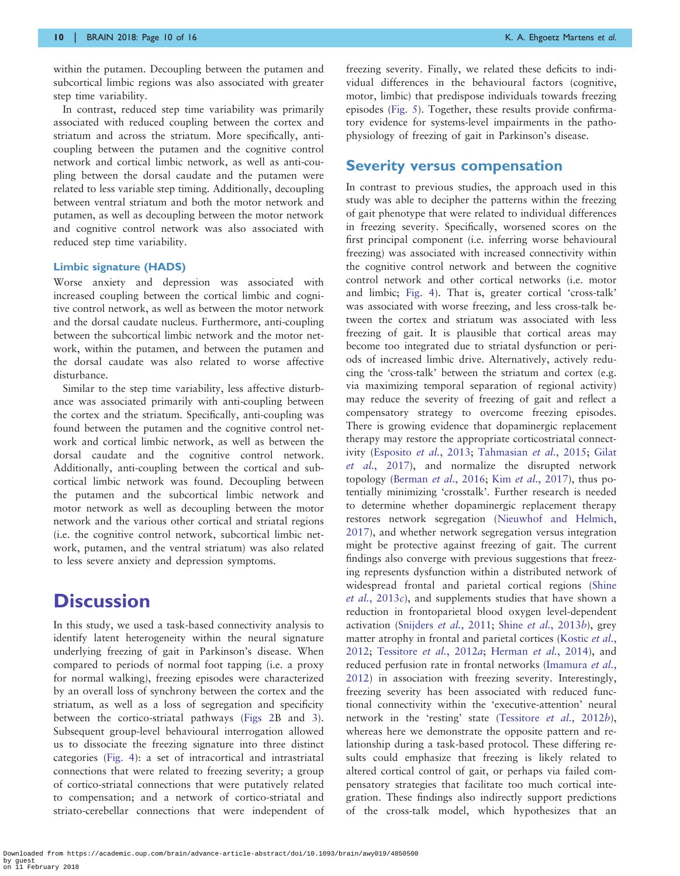within the putamen. Decoupling between the putamen and subcortical limbic regions was also associated with greater step time variability.

In contrast, reduced step time variability was primarily associated with reduced coupling between the cortex and striatum and across the striatum. More specifically, anticoupling between the putamen and the cognitive control network and cortical limbic network, as well as anti-coupling between the dorsal caudate and the putamen were related to less variable step timing. Additionally, decoupling between ventral striatum and both the motor network and putamen, as well as decoupling between the motor network and cognitive control network was also associated with reduced step time variability.

#### Limbic signature (HADS)

Worse anxiety and depression was associated with increased coupling between the cortical limbic and cognitive control network, as well as between the motor network and the dorsal caudate nucleus. Furthermore, anti-coupling between the subcortical limbic network and the motor network, within the putamen, and between the putamen and the dorsal caudate was also related to worse affective disturbance.

Similar to the step time variability, less affective disturbance was associated primarily with anti-coupling between the cortex and the striatum. Specifically, anti-coupling was found between the putamen and the cognitive control network and cortical limbic network, as well as between the dorsal caudate and the cognitive control network. Additionally, anti-coupling between the cortical and subcortical limbic network was found. Decoupling between the putamen and the subcortical limbic network and motor network as well as decoupling between the motor network and the various other cortical and striatal regions (i.e. the cognitive control network, subcortical limbic network, putamen, and the ventral striatum) was also related to less severe anxiety and depression symptoms.

## **Discussion**

In this study, we used a task-based connectivity analysis to identify latent heterogeneity within the neural signature underlying freezing of gait in Parkinson's disease. When compared to periods of normal foot tapping (i.e. a proxy for normal walking), freezing episodes were characterized by an overall loss of synchrony between the cortex and the striatum, as well as a loss of segregation and specificity between the cortico-striatal pathways ([Figs 2B](#page-5-0) and [3\)](#page-6-0). Subsequent group-level behavioural interrogation allowed us to dissociate the freezing signature into three distinct categories [\(Fig. 4](#page-7-0)): a set of intracortical and intrastriatal connections that were related to freezing severity; a group of cortico-striatal connections that were putatively related to compensation; and a network of cortico-striatal and striato-cerebellar connections that were independent of freezing severity. Finally, we related these deficits to individual differences in the behavioural factors (cognitive, motor, limbic) that predispose individuals towards freezing episodes ([Fig. 5\)](#page-7-0). Together, these results provide confirmatory evidence for systems-level impairments in the pathophysiology of freezing of gait in Parkinson's disease.

### Severity versus compensation

In contrast to previous studies, the approach used in this study was able to decipher the patterns within the freezing of gait phenotype that were related to individual differences in freezing severity. Specifically, worsened scores on the first principal component (i.e. inferring worse behavioural freezing) was associated with increased connectivity within the cognitive control network and between the cognitive control network and other cortical networks (i.e. motor and limbic; [Fig. 4\)](#page-7-0). That is, greater cortical 'cross-talk' was associated with worse freezing, and less cross-talk between the cortex and striatum was associated with less freezing of gait. It is plausible that cortical areas may become too integrated due to striatal dysfunction or periods of increased limbic drive. Alternatively, actively reducing the 'cross-talk' between the striatum and cortex (e.g. via maximizing temporal separation of regional activity) may reduce the severity of freezing of gait and reflect a compensatory strategy to overcome freezing episodes. There is growing evidence that dopaminergic replacement therapy may restore the appropriate corticostriatal connectivity ([Esposito](#page-13-0) et al., 2013; [Tahmasian](#page-15-0) et al., 2015; [Gilat](#page-13-0) et al.[, 2017](#page-13-0)), and normalize the disrupted network topology ([Berman](#page-13-0) et al., 2016; Kim et al.[, 2017](#page-14-0)), thus potentially minimizing 'crosstalk'. Further research is needed to determine whether dopaminergic replacement therapy restores network segregation [\(Nieuwhof and Helmich,](#page-14-0) [2017\)](#page-14-0), and whether network segregation versus integration might be protective against freezing of gait. The current findings also converge with previous suggestions that freezing represents dysfunction within a distributed network of widespread frontal and parietal cortical regions [\(Shine](#page-14-0) et al.[, 2013](#page-14-0)c), and supplements studies that have shown a reduction in frontoparietal blood oxygen level-dependent activation [\(Snijders](#page-14-0) et al., 2011; Shine et al.[, 2013](#page-14-0)b), grey matter atrophy in frontal and parietal cortices [\(Kostic](#page-14-0) et al., [2012;](#page-14-0) [Tessitore](#page-15-0) et al., 2012a; [Herman](#page-14-0) et al., 2014), and reduced perfusion rate in frontal networks ([Imamura](#page-14-0) et al., [2012\)](#page-14-0) in association with freezing severity. Interestingly, freezing severity has been associated with reduced functional connectivity within the 'executive-attention' neural network in the 'resting' state [\(Tessitore](#page-15-0) et al., 2012b), whereas here we demonstrate the opposite pattern and relationship during a task-based protocol. These differing results could emphasize that freezing is likely related to altered cortical control of gait, or perhaps via failed compensatory strategies that facilitate too much cortical integration. These findings also indirectly support predictions of the cross-talk model, which hypothesizes that an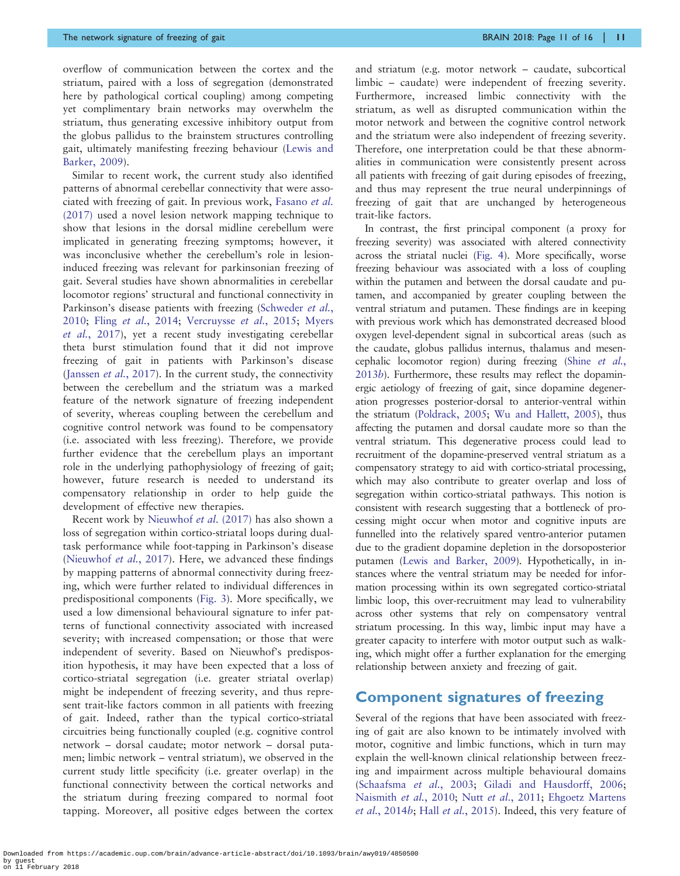overflow of communication between the cortex and the striatum, paired with a loss of segregation (demonstrated here by pathological cortical coupling) among competing yet complimentary brain networks may overwhelm the striatum, thus generating excessive inhibitory output from the globus pallidus to the brainstem structures controlling gait, ultimately manifesting freezing behaviour ([Lewis and](#page-14-0) [Barker, 2009](#page-14-0)).

Similar to recent work, the current study also identified patterns of abnormal cerebellar connectivity that were associated with freezing of gait. In previous work, [Fasano](#page-13-0) et al. [\(2017\)](#page-13-0) used a novel lesion network mapping technique to show that lesions in the dorsal midline cerebellum were implicated in generating freezing symptoms; however, it was inconclusive whether the cerebellum's role in lesioninduced freezing was relevant for parkinsonian freezing of gait. Several studies have shown abnormalities in cerebellar locomotor regions' structural and functional connectivity in Parkinson's disease patients with freezing ([Schweder](#page-14-0) et al., [2010;](#page-14-0) Fling et al.[, 2014;](#page-13-0) [Vercruysse](#page-15-0) et al., 2015; [Myers](#page-14-0) et al.[, 2017](#page-14-0)), yet a recent study investigating cerebellar theta burst stimulation found that it did not improve freezing of gait in patients with Parkinson's disease ([Janssen](#page-14-0) et al., 2017). In the current study, the connectivity between the cerebellum and the striatum was a marked feature of the network signature of freezing independent of severity, whereas coupling between the cerebellum and cognitive control network was found to be compensatory (i.e. associated with less freezing). Therefore, we provide further evidence that the cerebellum plays an important role in the underlying pathophysiology of freezing of gait; however, future research is needed to understand its compensatory relationship in order to help guide the development of effective new therapies.

Recent work by [Nieuwhof](#page-14-0) et al. (2017) has also shown a loss of segregation within cortico-striatal loops during dualtask performance while foot-tapping in Parkinson's disease ([Nieuwhof](#page-14-0) et al., 2017). Here, we advanced these findings by mapping patterns of abnormal connectivity during freezing, which were further related to individual differences in predispositional components [\(Fig. 3](#page-6-0)). More specifically, we used a low dimensional behavioural signature to infer patterns of functional connectivity associated with increased severity; with increased compensation; or those that were independent of severity. Based on Nieuwhof's predisposition hypothesis, it may have been expected that a loss of cortico-striatal segregation (i.e. greater striatal overlap) might be independent of freezing severity, and thus represent trait-like factors common in all patients with freezing of gait. Indeed, rather than the typical cortico-striatal circuitries being functionally coupled (e.g. cognitive control network – dorsal caudate; motor network – dorsal putamen; limbic network – ventral striatum), we observed in the current study little specificity (i.e. greater overlap) in the functional connectivity between the cortical networks and the striatum during freezing compared to normal foot tapping. Moreover, all positive edges between the cortex

and striatum (e.g. motor network – caudate, subcortical limbic – caudate) were independent of freezing severity. Furthermore, increased limbic connectivity with the striatum, as well as disrupted communication within the motor network and between the cognitive control network and the striatum were also independent of freezing severity. Therefore, one interpretation could be that these abnormalities in communication were consistently present across all patients with freezing of gait during episodes of freezing, and thus may represent the true neural underpinnings of freezing of gait that are unchanged by heterogeneous trait-like factors.

In contrast, the first principal component (a proxy for freezing severity) was associated with altered connectivity across the striatal nuclei ([Fig. 4](#page-7-0)). More specifically, worse freezing behaviour was associated with a loss of coupling within the putamen and between the dorsal caudate and putamen, and accompanied by greater coupling between the ventral striatum and putamen. These findings are in keeping with previous work which has demonstrated decreased blood oxygen level-dependent signal in subcortical areas (such as the caudate, globus pallidus internus, thalamus and mesencephalic locomotor region) during freezing (Shine [et al.](#page-14-0), [2013](#page-14-0)b). Furthermore, these results may reflect the dopaminergic aetiology of freezing of gait, since dopamine degeneration progresses posterior-dorsal to anterior-ventral within the striatum [\(Poldrack, 2005;](#page-14-0) [Wu and Hallett, 2005](#page-15-0)), thus affecting the putamen and dorsal caudate more so than the ventral striatum. This degenerative process could lead to recruitment of the dopamine-preserved ventral striatum as a compensatory strategy to aid with cortico-striatal processing, which may also contribute to greater overlap and loss of segregation within cortico-striatal pathways. This notion is consistent with research suggesting that a bottleneck of processing might occur when motor and cognitive inputs are funnelled into the relatively spared ventro-anterior putamen due to the gradient dopamine depletion in the dorsoposterior putamen [\(Lewis and Barker, 2009](#page-14-0)). Hypothetically, in instances where the ventral striatum may be needed for information processing within its own segregated cortico-striatal limbic loop, this over-recruitment may lead to vulnerability across other systems that rely on compensatory ventral striatum processing. In this way, limbic input may have a greater capacity to interfere with motor output such as walking, which might offer a further explanation for the emerging relationship between anxiety and freezing of gait.

### Component signatures of freezing

Several of the regions that have been associated with freezing of gait are also known to be intimately involved with motor, cognitive and limbic functions, which in turn may explain the well-known clinical relationship between freezing and impairment across multiple behavioural domains ([Schaafsma](#page-14-0) et al., 2003; [Giladi and Hausdorff, 2006;](#page-13-0) [Naismith](#page-14-0) et al., 2010; Nutt et al.[, 2011;](#page-14-0) [Ehgoetz Martens](#page-13-0) et al.[, 2014](#page-13-0)b; Hall et al.[, 2015\)](#page-13-0). Indeed, this very feature of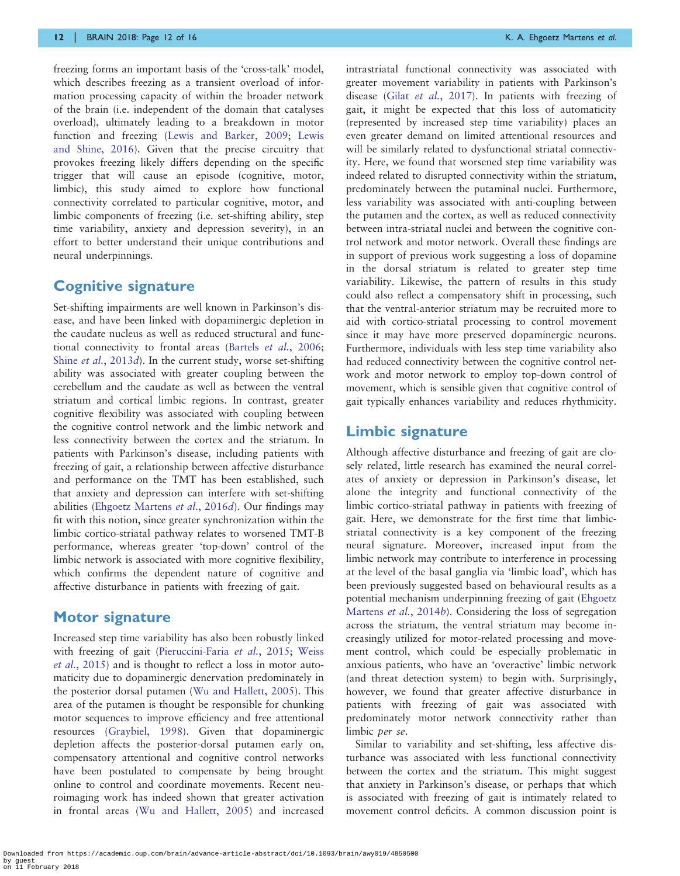freezing forms an important basis of the 'cross-talk' model, which describes freezing as a transient overload of information processing capacity of within the broader network of the brain (i.e. independent of the domain that catalyses overload), ultimately leading to a breakdown in motor function and freezing [\(Lewis and Barker, 2009;](#page-14-0) [Lewis](#page-14-0) [and Shine, 2016\)](#page-14-0). Given that the precise circuitry that provokes freezing likely differs depending on the specific trigger that will cause an episode (cognitive, motor, limbic), this study aimed to explore how functional connectivity correlated to particular cognitive, motor, and limbic components of freezing (i.e. set-shifting ability, step time variability, anxiety and depression severity), in an effort to better understand their unique contributions and neural underpinnings.

### Cognitive signature

Set-shifting impairments are well known in Parkinson's disease, and have been linked with dopaminergic depletion in the caudate nucleus as well as reduced structural and functional connectivity to frontal areas (Bartels et al.[, 2006;](#page-13-0) Shine et al.[, 2013](#page-14-0)d). In the current study, worse set-shifting ability was associated with greater coupling between the cerebellum and the caudate as well as between the ventral striatum and cortical limbic regions. In contrast, greater cognitive flexibility was associated with coupling between the cognitive control network and the limbic network and less connectivity between the cortex and the striatum. In patients with Parkinson's disease, including patients with freezing of gait, a relationship between affective disturbance and performance on the TMT has been established, such that anxiety and depression can interfere with set-shifting abilities ([Ehgoetz Martens](#page-13-0) et al., 2016d). Our findings may fit with this notion, since greater synchronization within the limbic cortico-striatal pathway relates to worsened TMT-B performance, whereas greater 'top-down' control of the limbic network is associated with more cognitive flexibility, which confirms the dependent nature of cognitive and affective disturbance in patients with freezing of gait.

### Motor signature

Increased step time variability has also been robustly linked with freezing of gait [\(Pieruccini-Faria](#page-14-0) et al., 2015; [Weiss](#page-15-0) et al.[, 2015\)](#page-15-0) and is thought to reflect a loss in motor automaticity due to dopaminergic denervation predominately in the posterior dorsal putamen ([Wu and Hallett, 2005](#page-15-0)). This area of the putamen is thought be responsible for chunking motor sequences to improve efficiency and free attentional resources ([Graybiel, 1998\)](#page-13-0). Given that dopaminergic depletion affects the posterior-dorsal putamen early on, compensatory attentional and cognitive control networks have been postulated to compensate by being brought online to control and coordinate movements. Recent neuroimaging work has indeed shown that greater activation in frontal areas [\(Wu and Hallett, 2005\)](#page-15-0) and increased

intrastriatal functional connectivity was associated with greater movement variability in patients with Parkinson's disease (Gilat et al.[, 2017](#page-13-0)). In patients with freezing of gait, it might be expected that this loss of automaticity (represented by increased step time variability) places an even greater demand on limited attentional resources and will be similarly related to dysfunctional striatal connectivity. Here, we found that worsened step time variability was indeed related to disrupted connectivity within the striatum, predominately between the putaminal nuclei. Furthermore, less variability was associated with anti-coupling between the putamen and the cortex, as well as reduced connectivity between intra-striatal nuclei and between the cognitive control network and motor network. Overall these findings are in support of previous work suggesting a loss of dopamine in the dorsal striatum is related to greater step time variability. Likewise, the pattern of results in this study could also reflect a compensatory shift in processing, such that the ventral-anterior striatum may be recruited more to aid with cortico-striatal processing to control movement since it may have more preserved dopaminergic neurons. Furthermore, individuals with less step time variability also had reduced connectivity between the cognitive control network and motor network to employ top-down control of movement, which is sensible given that cognitive control of gait typically enhances variability and reduces rhythmicity.

### Limbic signature

Although affective disturbance and freezing of gait are closely related, little research has examined the neural correlates of anxiety or depression in Parkinson's disease, let alone the integrity and functional connectivity of the limbic cortico-striatal pathway in patients with freezing of gait. Here, we demonstrate for the first time that limbicstriatal connectivity is a key component of the freezing neural signature. Moreover, increased input from the limbic network may contribute to interference in processing at the level of the basal ganglia via 'limbic load', which has been previously suggested based on behavioural results as a potential mechanism underpinning freezing of gait ([Ehgoetz](#page-13-0) [Martens](#page-13-0) *et al.*, 2014*b*). Considering the loss of segregation across the striatum, the ventral striatum may become increasingly utilized for motor-related processing and movement control, which could be especially problematic in anxious patients, who have an 'overactive' limbic network (and threat detection system) to begin with. Surprisingly, however, we found that greater affective disturbance in patients with freezing of gait was associated with predominately motor network connectivity rather than limbic per se.

Similar to variability and set-shifting, less affective disturbance was associated with less functional connectivity between the cortex and the striatum. This might suggest that anxiety in Parkinson's disease, or perhaps that which is associated with freezing of gait is intimately related to movement control deficits. A common discussion point is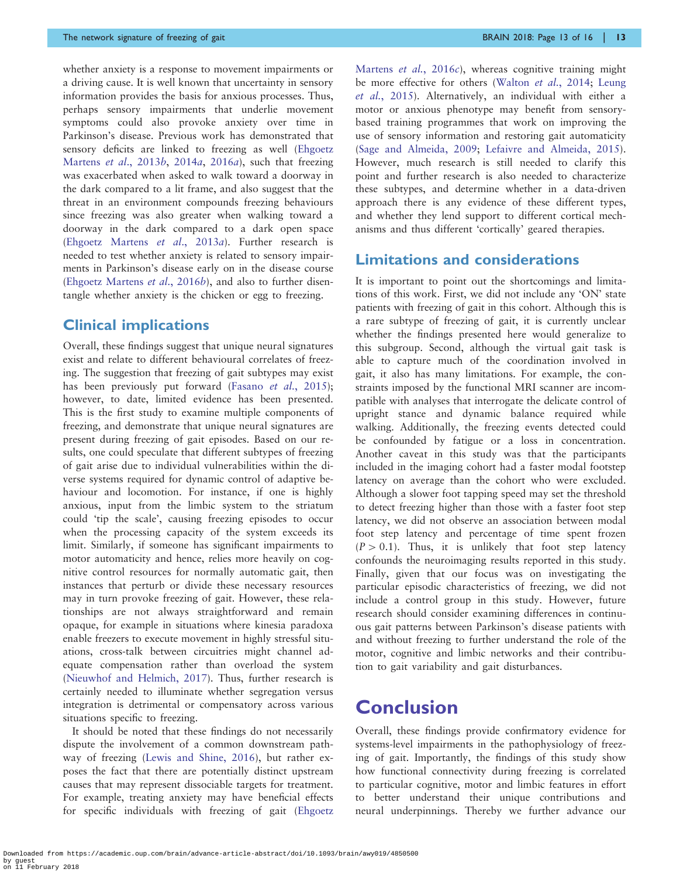whether anxiety is a response to movement impairments or a driving cause. It is well known that uncertainty in sensory information provides the basis for anxious processes. Thus, perhaps sensory impairments that underlie movement symptoms could also provoke anxiety over time in Parkinson's disease. Previous work has demonstrated that sensory deficits are linked to freezing as well [\(Ehgoetz](#page-13-0) [Martens](#page-13-0) et al., 2013b, [2014](#page-13-0)a, [2016](#page-13-0)a), such that freezing was exacerbated when asked to walk toward a doorway in the dark compared to a lit frame, and also suggest that the threat in an environment compounds freezing behaviours since freezing was also greater when walking toward a doorway in the dark compared to a dark open space ([Ehgoetz Martens](#page-13-0) et al., 2013a). Further research is needed to test whether anxiety is related to sensory impairments in Parkinson's disease early on in the disease course ([Ehgoetz Martens](#page-13-0) et al., 2016b), and also to further disentangle whether anxiety is the chicken or egg to freezing.

### Clinical implications

Overall, these findings suggest that unique neural signatures exist and relate to different behavioural correlates of freezing. The suggestion that freezing of gait subtypes may exist has been previously put forward (Fasano et al.[, 2015\)](#page-13-0); however, to date, limited evidence has been presented. This is the first study to examine multiple components of freezing, and demonstrate that unique neural signatures are present during freezing of gait episodes. Based on our results, one could speculate that different subtypes of freezing of gait arise due to individual vulnerabilities within the diverse systems required for dynamic control of adaptive behaviour and locomotion. For instance, if one is highly anxious, input from the limbic system to the striatum could 'tip the scale', causing freezing episodes to occur when the processing capacity of the system exceeds its limit. Similarly, if someone has significant impairments to motor automaticity and hence, relies more heavily on cognitive control resources for normally automatic gait, then instances that perturb or divide these necessary resources may in turn provoke freezing of gait. However, these relationships are not always straightforward and remain opaque, for example in situations where kinesia paradoxa enable freezers to execute movement in highly stressful situations, cross-talk between circuitries might channel adequate compensation rather than overload the system ([Nieuwhof and Helmich, 2017\)](#page-14-0). Thus, further research is certainly needed to illuminate whether segregation versus integration is detrimental or compensatory across various situations specific to freezing.

It should be noted that these findings do not necessarily dispute the involvement of a common downstream pathway of freezing [\(Lewis and Shine, 2016\)](#page-14-0), but rather exposes the fact that there are potentially distinct upstream causes that may represent dissociable targets for treatment. For example, treating anxiety may have beneficial effects for specific individuals with freezing of gait [\(Ehgoetz](#page-13-0) [Martens](#page-13-0) *et al.*, 2016*c*), whereas cognitive training might be more effective for others [\(Walton](#page-15-0) et al., 2014; [Leung](#page-14-0) et al.[, 2015\)](#page-14-0). Alternatively, an individual with either a motor or anxious phenotype may benefit from sensorybased training programmes that work on improving the use of sensory information and restoring gait automaticity ([Sage and Almeida, 2009](#page-14-0); [Lefaivre and Almeida, 2015\)](#page-14-0). However, much research is still needed to clarify this point and further research is also needed to characterize these subtypes, and determine whether in a data-driven approach there is any evidence of these different types, and whether they lend support to different cortical mechanisms and thus different 'cortically' geared therapies.

### Limitations and considerations

It is important to point out the shortcomings and limitations of this work. First, we did not include any 'ON' state patients with freezing of gait in this cohort. Although this is a rare subtype of freezing of gait, it is currently unclear whether the findings presented here would generalize to this subgroup. Second, although the virtual gait task is able to capture much of the coordination involved in gait, it also has many limitations. For example, the constraints imposed by the functional MRI scanner are incompatible with analyses that interrogate the delicate control of upright stance and dynamic balance required while walking. Additionally, the freezing events detected could be confounded by fatigue or a loss in concentration. Another caveat in this study was that the participants included in the imaging cohort had a faster modal footstep latency on average than the cohort who were excluded. Although a slower foot tapping speed may set the threshold to detect freezing higher than those with a faster foot step latency, we did not observe an association between modal foot step latency and percentage of time spent frozen  $(P > 0.1)$ . Thus, it is unlikely that foot step latency confounds the neuroimaging results reported in this study. Finally, given that our focus was on investigating the particular episodic characteristics of freezing, we did not include a control group in this study. However, future research should consider examining differences in continuous gait patterns between Parkinson's disease patients with and without freezing to further understand the role of the motor, cognitive and limbic networks and their contribution to gait variability and gait disturbances.

## **Conclusion**

Overall, these findings provide confirmatory evidence for systems-level impairments in the pathophysiology of freezing of gait. Importantly, the findings of this study show how functional connectivity during freezing is correlated to particular cognitive, motor and limbic features in effort to better understand their unique contributions and neural underpinnings. Thereby we further advance our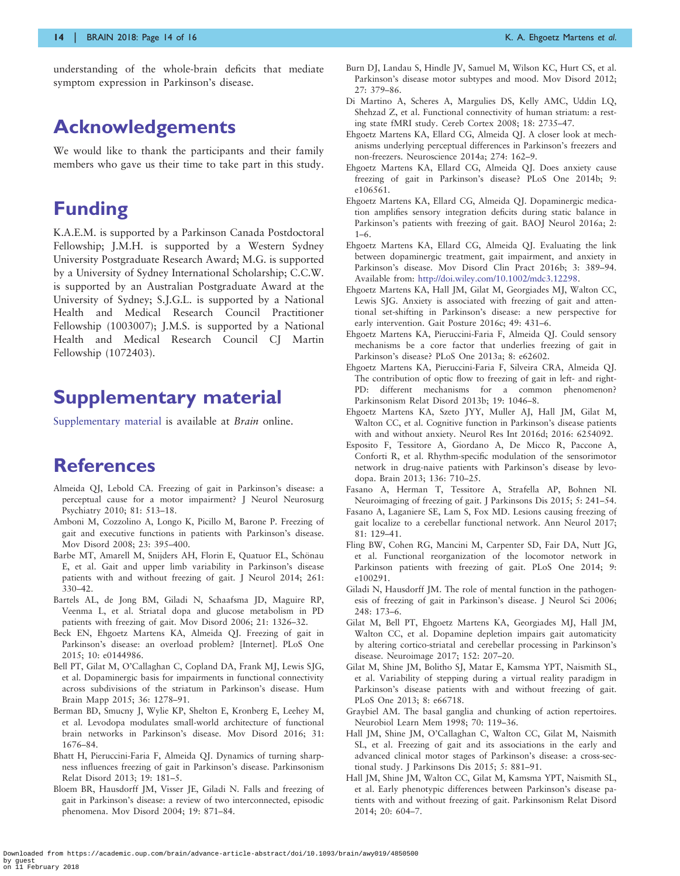<span id="page-13-0"></span>understanding of the whole-brain deficits that mediate symptom expression in Parkinson's disease.

## Acknowledgements

We would like to thank the participants and their family members who gave us their time to take part in this study.

## Funding

K.A.E.M. is supported by a Parkinson Canada Postdoctoral Fellowship; J.M.H. is supported by a Western Sydney University Postgraduate Research Award; M.G. is supported by a University of Sydney International Scholarship; C.C.W. is supported by an Australian Postgraduate Award at the University of Sydney; S.J.G.L. is supported by a National Health and Medical Research Council Practitioner Fellowship (1003007); J.M.S. is supported by a National Health and Medical Research Council CJ Martin Fellowship (1072403).

## Supplementary material

[Supplementary material](http://brain.oxfordjournals.org/lookup/suppl/doi:10.1093/brain/awy019#supplementary-data) is available at Brain online.

## References

- Almeida QJ, Lebold CA. Freezing of gait in Parkinson's disease: a perceptual cause for a motor impairment? J Neurol Neurosurg Psychiatry 2010; 81: 513–18.
- Amboni M, Cozzolino A, Longo K, Picillo M, Barone P. Freezing of gait and executive functions in patients with Parkinson's disease. Mov Disord 2008; 23: 395–400.
- Barbe MT, Amarell M, Snijders AH, Florin E, Quatuor EL, Schönau E, et al. Gait and upper limb variability in Parkinson's disease patients with and without freezing of gait. J Neurol 2014; 261: 330–42.
- Bartels AL, de Jong BM, Giladi N, Schaafsma JD, Maguire RP, Veenma L, et al. Striatal dopa and glucose metabolism in PD patients with freezing of gait. Mov Disord 2006; 21: 1326–32.
- Beck EN, Ehgoetz Martens KA, Almeida QJ. Freezing of gait in Parkinson's disease: an overload problem? [Internet]. PLoS One 2015; 10: e0144986.
- Bell PT, Gilat M, O'Callaghan C, Copland DA, Frank MJ, Lewis SJG, et al. Dopaminergic basis for impairments in functional connectivity across subdivisions of the striatum in Parkinson's disease. Hum Brain Mapp 2015; 36: 1278–91.
- Berman BD, Smucny J, Wylie KP, Shelton E, Kronberg E, Leehey M, et al. Levodopa modulates small-world architecture of functional brain networks in Parkinson's disease. Mov Disord 2016; 31: 1676–84.
- Bhatt H, Pieruccini-Faria F, Almeida QJ. Dynamics of turning sharpness influences freezing of gait in Parkinson's disease. Parkinsonism Relat Disord 2013; 19: 181–5.
- Bloem BR, Hausdorff JM, Visser JE, Giladi N. Falls and freezing of gait in Parkinson's disease: a review of two interconnected, episodic phenomena. Mov Disord 2004; 19: 871–84.
- Burn DJ, Landau S, Hindle JV, Samuel M, Wilson KC, Hurt CS, et al. Parkinson's disease motor subtypes and mood. Mov Disord 2012; 27: 379–86.
- Di Martino A, Scheres A, Margulies DS, Kelly AMC, Uddin LQ, Shehzad Z, et al. Functional connectivity of human striatum: a resting state fMRI study. Cereb Cortex 2008; 18: 2735–47.
- Ehgoetz Martens KA, Ellard CG, Almeida QJ. A closer look at mechanisms underlying perceptual differences in Parkinson's freezers and non-freezers. Neuroscience 2014a; 274: 162–9.
- Ehgoetz Martens KA, Ellard CG, Almeida QJ. Does anxiety cause freezing of gait in Parkinson's disease? PLoS One 2014b; 9: e106561.
- Ehgoetz Martens KA, Ellard CG, Almeida QJ. Dopaminergic medication amplifies sensory integration deficits during static balance in Parkinson's patients with freezing of gait. BAOJ Neurol 2016a; 2:  $1-6.$
- Ehgoetz Martens KA, Ellard CG, Almeida QJ. Evaluating the link between dopaminergic treatment, gait impairment, and anxiety in Parkinson's disease. Mov Disord Clin Pract 2016b; 3: 389–94. Available from: [http://doi.wiley.com/10.1002/mdc3.12298.](http://doi.wiley.com/10.1002/mdc3.12298)
- Ehgoetz Martens KA, Hall JM, Gilat M, Georgiades MJ, Walton CC, Lewis SJG. Anxiety is associated with freezing of gait and attentional set-shifting in Parkinson's disease: a new perspective for early intervention. Gait Posture 2016c; 49: 431–6.
- Ehgoetz Martens KA, Pieruccini-Faria F, Almeida QJ. Could sensory mechanisms be a core factor that underlies freezing of gait in Parkinson's disease? PLoS One 2013a; 8: e62602.
- Ehgoetz Martens KA, Pieruccini-Faria F, Silveira CRA, Almeida QJ. The contribution of optic flow to freezing of gait in left- and right-PD: different mechanisms for a common phenomenon? Parkinsonism Relat Disord 2013b; 19: 1046–8.
- Ehgoetz Martens KA, Szeto JYY, Muller AJ, Hall JM, Gilat M, Walton CC, et al. Cognitive function in Parkinson's disease patients with and without anxiety. Neurol Res Int 2016d; 2016: 6254092.
- Esposito F, Tessitore A, Giordano A, De Micco R, Paccone A, Conforti R, et al. Rhythm-specific modulation of the sensorimotor network in drug-naive patients with Parkinson's disease by levodopa. Brain 2013; 136: 710–25.
- Fasano A, Herman T, Tessitore A, Strafella AP, Bohnen NI. Neuroimaging of freezing of gait. J Parkinsons Dis 2015; 5: 241–54.
- Fasano A, Laganiere SE, Lam S, Fox MD. Lesions causing freezing of gait localize to a cerebellar functional network. Ann Neurol 2017; 81: 129–41.
- Fling BW, Cohen RG, Mancini M, Carpenter SD, Fair DA, Nutt JG, et al. Functional reorganization of the locomotor network in Parkinson patients with freezing of gait. PLoS One 2014; 9: e100291.
- Giladi N, Hausdorff JM. The role of mental function in the pathogenesis of freezing of gait in Parkinson's disease. J Neurol Sci 2006; 248: 173–6.
- Gilat M, Bell PT, Ehgoetz Martens KA, Georgiades MJ, Hall JM, Walton CC, et al. Dopamine depletion impairs gait automaticity by altering cortico-striatal and cerebellar processing in Parkinson's disease. Neuroimage 2017; 152: 207–20.
- Gilat M, Shine JM, Bolitho SJ, Matar E, Kamsma YPT, Naismith SL, et al. Variability of stepping during a virtual reality paradigm in Parkinson's disease patients with and without freezing of gait. PLoS One 2013; 8: e66718.
- Graybiel AM. The basal ganglia and chunking of action repertoires. Neurobiol Learn Mem 1998; 70: 119–36.
- Hall JM, Shine JM, O'Callaghan C, Walton CC, Gilat M, Naismith SL, et al. Freezing of gait and its associations in the early and advanced clinical motor stages of Parkinson's disease: a cross-sectional study. J Parkinsons Dis 2015; 5: 881–91.
- Hall JM, Shine JM, Walton CC, Gilat M, Kamsma YPT, Naismith SL, et al. Early phenotypic differences between Parkinson's disease patients with and without freezing of gait. Parkinsonism Relat Disord 2014; 20: 604–7.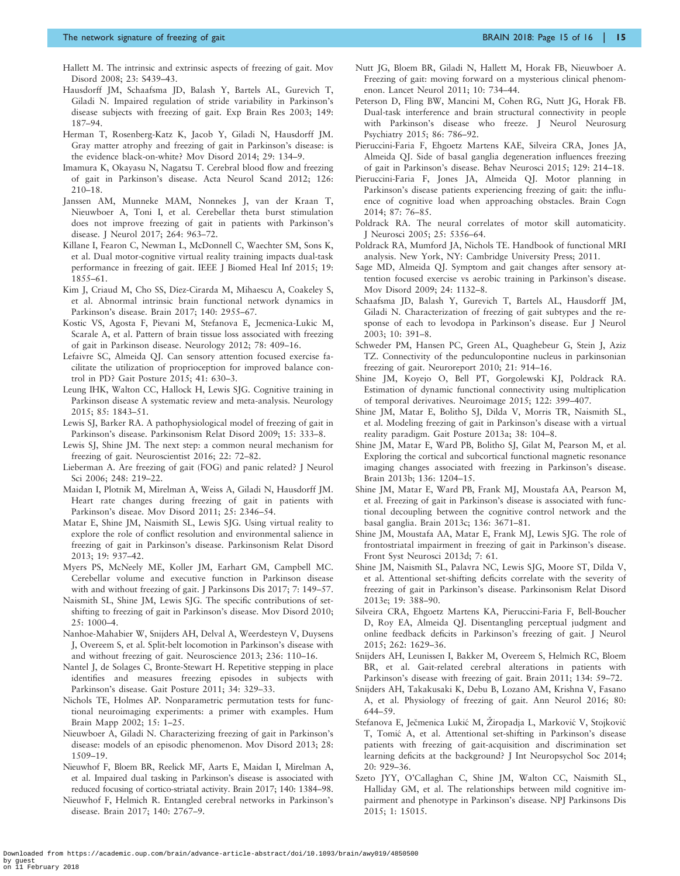- <span id="page-14-0"></span>Hallett M. The intrinsic and extrinsic aspects of freezing of gait. Mov Disord 2008; 23: S439–43.
- Hausdorff JM, Schaafsma JD, Balash Y, Bartels AL, Gurevich T, Giladi N. Impaired regulation of stride variability in Parkinson's disease subjects with freezing of gait. Exp Brain Res 2003; 149: 187–94.
- Herman T, Rosenberg-Katz K, Jacob Y, Giladi N, Hausdorff JM. Gray matter atrophy and freezing of gait in Parkinson's disease: is the evidence black-on-white? Mov Disord 2014; 29: 134–9.
- Imamura K, Okayasu N, Nagatsu T. Cerebral blood flow and freezing of gait in Parkinson's disease. Acta Neurol Scand 2012; 126: 210–18.
- Janssen AM, Munneke MAM, Nonnekes J, van der Kraan T, Nieuwboer A, Toni I, et al. Cerebellar theta burst stimulation does not improve freezing of gait in patients with Parkinson's disease. J Neurol 2017; 264: 963–72.
- Killane I, Fearon C, Newman L, McDonnell C, Waechter SM, Sons K, et al. Dual motor-cognitive virtual reality training impacts dual-task performance in freezing of gait. IEEE J Biomed Heal Inf 2015; 19: 1855–61.
- Kim J, Criaud M, Cho SS, Díez-Cirarda M, Mihaescu A, Coakeley S, et al. Abnormal intrinsic brain functional network dynamics in Parkinson's disease. Brain 2017; 140: 2955–67.
- Kostic VS, Agosta F, Pievani M, Stefanova E, Jecmenica-Lukic M, Scarale A, et al. Pattern of brain tissue loss associated with freezing of gait in Parkinson disease. Neurology 2012; 78: 409–16.
- Lefaivre SC, Almeida QJ. Can sensory attention focused exercise facilitate the utilization of proprioception for improved balance control in PD? Gait Posture 2015; 41: 630–3.
- Leung IHK, Walton CC, Hallock H, Lewis SJG. Cognitive training in Parkinson disease A systematic review and meta-analysis. Neurology 2015; 85: 1843–51.
- Lewis SJ, Barker RA. A pathophysiological model of freezing of gait in Parkinson's disease. Parkinsonism Relat Disord 2009; 15: 333–8.
- Lewis SJ, Shine JM. The next step: a common neural mechanism for freezing of gait. Neuroscientist 2016; 22: 72–82.
- Lieberman A. Are freezing of gait (FOG) and panic related? J Neurol Sci 2006; 248: 219–22.
- Maidan I, Plotnik M, Mirelman A, Weiss A, Giladi N, Hausdorff JM. Heart rate changes during freezing of gait in patients with Parkinson's diseae. Mov Disord 2011; 25: 2346–54.
- Matar E, Shine JM, Naismith SL, Lewis SJG. Using virtual reality to explore the role of conflict resolution and environmental salience in freezing of gait in Parkinson's disease. Parkinsonism Relat Disord 2013; 19: 937–42.
- Myers PS, McNeely ME, Koller JM, Earhart GM, Campbell MC. Cerebellar volume and executive function in Parkinson disease with and without freezing of gait. J Parkinsons Dis 2017; 7: 149–57.
- Naismith SL, Shine JM, Lewis SJG. The specific contributions of setshifting to freezing of gait in Parkinson's disease. Mov Disord 2010; 25: 1000–4.
- Nanhoe-Mahabier W, Snijders AH, Delval A, Weerdesteyn V, Duysens J, Overeem S, et al. Split-belt locomotion in Parkinson's disease with and without freezing of gait. Neuroscience 2013; 236: 110–16.
- Nantel J, de Solages C, Bronte-Stewart H. Repetitive stepping in place identifies and measures freezing episodes in subjects with Parkinson's disease. Gait Posture 2011; 34: 329–33.
- Nichols TE, Holmes AP. Nonparametric permutation tests for functional neuroimaging experiments: a primer with examples. Hum Brain Mapp 2002; 15: 1–25.
- Nieuwboer A, Giladi N. Characterizing freezing of gait in Parkinson's disease: models of an episodic phenomenon. Mov Disord 2013; 28: 1509–19.
- Nieuwhof F, Bloem BR, Reelick MF, Aarts E, Maidan I, Mirelman A, et al. Impaired dual tasking in Parkinson's disease is associated with reduced focusing of cortico-striatal activity. Brain 2017; 140: 1384–98.
- Nieuwhof F, Helmich R. Entangled cerebral networks in Parkinson's disease. Brain 2017; 140: 2767–9.
- Nutt JG, Bloem BR, Giladi N, Hallett M, Horak FB, Nieuwboer A. Freezing of gait: moving forward on a mysterious clinical phenomenon. Lancet Neurol 2011; 10: 734–44.
- Peterson D, Fling BW, Mancini M, Cohen RG, Nutt JG, Horak FB. Dual-task interference and brain structural connectivity in people with Parkinson's disease who freeze. J Neurol Neurosurg Psychiatry 2015; 86: 786–92.
- Pieruccini-Faria F, Ehgoetz Martens KAE, Silveira CRA, Jones JA, Almeida QJ. Side of basal ganglia degeneration influences freezing of gait in Parkinson's disease. Behav Neurosci 2015; 129: 214–18.
- Pieruccini-Faria F, Jones JA, Almeida QJ. Motor planning in Parkinson's disease patients experiencing freezing of gait: the influence of cognitive load when approaching obstacles. Brain Cogn 2014; 87: 76–85.
- Poldrack RA. The neural correlates of motor skill automaticity. J Neurosci 2005; 25: 5356–64.
- Poldrack RA, Mumford JA, Nichols TE. Handbook of functional MRI analysis. New York, NY: Cambridge University Press; 2011.
- Sage MD, Almeida QJ. Symptom and gait changes after sensory attention focused exercise vs aerobic training in Parkinson's disease. Mov Disord 2009; 24: 1132–8.
- Schaafsma JD, Balash Y, Gurevich T, Bartels AL, Hausdorff JM, Giladi N. Characterization of freezing of gait subtypes and the response of each to levodopa in Parkinson's disease. Eur J Neurol 2003; 10: 391–8.
- Schweder PM, Hansen PC, Green AL, Quaghebeur G, Stein J, Aziz TZ. Connectivity of the pedunculopontine nucleus in parkinsonian freezing of gait. Neuroreport 2010; 21: 914–16.
- Shine JM, Koyejo O, Bell PT, Gorgolewski KJ, Poldrack RA. Estimation of dynamic functional connectivity using multiplication of temporal derivatives. Neuroimage 2015; 122: 399–407.
- Shine JM, Matar E, Bolitho SJ, Dilda V, Morris TR, Naismith SL, et al. Modeling freezing of gait in Parkinson's disease with a virtual reality paradigm. Gait Posture 2013a; 38: 104–8.
- Shine JM, Matar E, Ward PB, Bolitho SJ, Gilat M, Pearson M, et al. Exploring the cortical and subcortical functional magnetic resonance imaging changes associated with freezing in Parkinson's disease. Brain 2013b; 136: 1204–15.
- Shine JM, Matar E, Ward PB, Frank MJ, Moustafa AA, Pearson M, et al. Freezing of gait in Parkinson's disease is associated with functional decoupling between the cognitive control network and the basal ganglia. Brain 2013c; 136: 3671–81.
- Shine JM, Moustafa AA, Matar E, Frank MJ, Lewis SJG. The role of frontostriatal impairment in freezing of gait in Parkinson's disease. Front Syst Neurosci 2013d; 7: 61.
- Shine JM, Naismith SL, Palavra NC, Lewis SJG, Moore ST, Dilda V, et al. Attentional set-shifting deficits correlate with the severity of freezing of gait in Parkinson's disease. Parkinsonism Relat Disord 2013e; 19: 388–90.
- Silveira CRA, Ehgoetz Martens KA, Pieruccini-Faria F, Bell-Boucher D, Roy EA, Almeida QJ. Disentangling perceptual judgment and online feedback deficits in Parkinson's freezing of gait. J Neurol 2015; 262: 1629–36.
- Snijders AH, Leunissen I, Bakker M, Overeem S, Helmich RC, Bloem BR, et al. Gait-related cerebral alterations in patients with Parkinson's disease with freezing of gait. Brain 2011; 134: 59–72.
- Snijders AH, Takakusaki K, Debu B, Lozano AM, Krishna V, Fasano A, et al. Physiology of freezing of gait. Ann Neurol 2016; 80: 644–59.
- Stefanova E, Ječmenica Lukić M, Žiropadja L, Marković V, Stojković T, Tomić A, et al. Attentional set-shifting in Parkinson's disease patients with freezing of gait-acquisition and discrimination set learning deficits at the background? J Int Neuropsychol Soc 2014; 20: 929–36.
- Szeto JYY, O'Callaghan C, Shine JM, Walton CC, Naismith SL, Halliday GM, et al. The relationships between mild cognitive impairment and phenotype in Parkinson's disease. NPJ Parkinsons Dis 2015; 1: 15015.